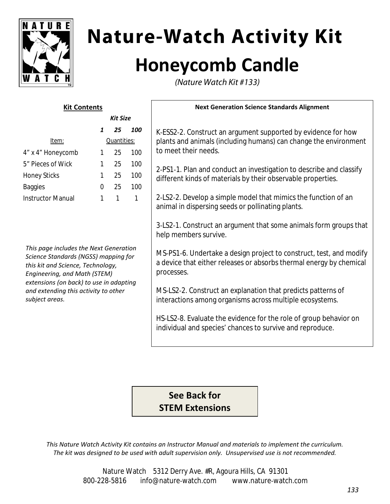

# **Nature-Watch Activity Kit Honeycomb Candle**

(Nature Watch Kit #133)

# **Kit Contents**

| <b>Kit Size</b> |    |             |
|-----------------|----|-------------|
| 1               | 25 | 100         |
|                 |    |             |
| 1               | 25 | 100         |
| 1               | 25 | 100         |
| 1               | 25 | 100         |
| $\Omega$        | 25 | 100         |
|                 | 1  |             |
|                 |    | Quantities: |

*This page includes the Next Generation Science Standards (NGSS) mapping for this kit and Science, Technology, Engineering, and Math (STEM) extensions (on back) to use in adapting and extending this activity to other subject areas.*

### **Next Generation Science Standards Alignment**

K‐ESS2‐2. Construct an argument supported by evidence for how plants and animals (including humans) can change the environment to meet their needs.

2‐PS1‐1. Plan and conduct an investigation to describe and classify different kinds of materials by their observable properties.

2‐LS2‐2. Develop a simple model that mimics the function of an animal in dispersing seeds or pollinating plants.

3‐LS2‐1. Construct an argument that some animals form groups that help members survive.

MS‐PS1‐6. Undertake a design project to construct, test, and modify a device that either releases or absorbs thermal energy by chemical processes.

MS‐LS2‐2. Construct an explanation that predicts patterns of interactions among organisms across multiple ecosystems.

HS‐LS2‐8. Evaluate the evidence for the role of group behavior on individual and species' chances to survive and reproduce.

**See Back for STEM Extensions**

*This Nature Watch Activity Kit contains an Instructor Manual and materials to implement the curriculum. The kit was designed to be used with adult supervision only. Unsupervised use is not recommended.*

> Nature Watch 5312 Derry Ave. #R, Agoura Hills, CA 91301 800‐228‐5816 info@nature‐watch.com www.nature‐watch.com